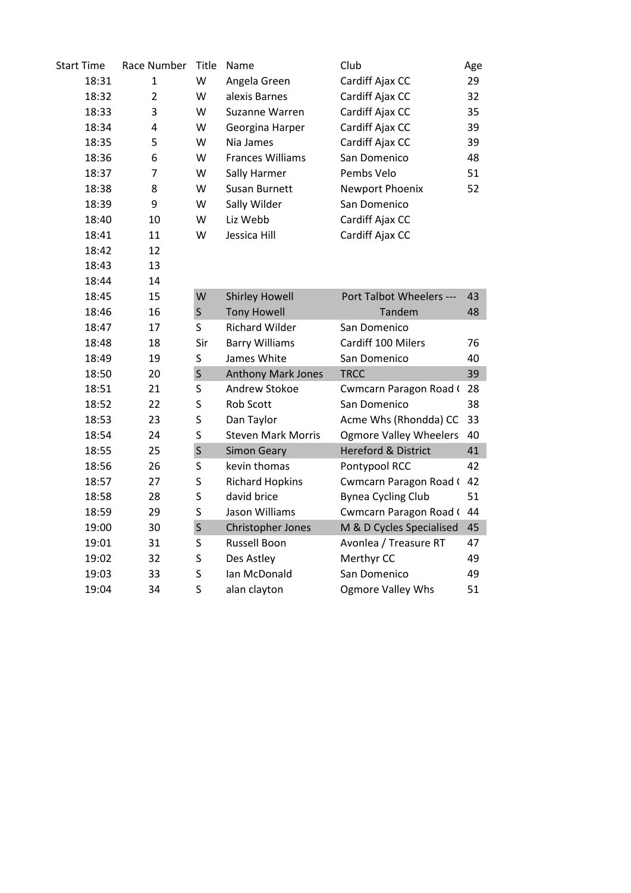| <b>Start Time</b> | Race Number    | Title       | Name                      | Club                           | Age |
|-------------------|----------------|-------------|---------------------------|--------------------------------|-----|
| 18:31             | 1              | W           | Angela Green              | Cardiff Ajax CC                | 29  |
| 18:32             | $\overline{2}$ | W           | alexis Barnes             | Cardiff Ajax CC                | 32  |
| 18:33             | 3              | W           | Suzanne Warren            | Cardiff Ajax CC                | 35  |
| 18:34             | 4              | W           | Georgina Harper           | Cardiff Ajax CC                | 39  |
| 18:35             | 5              | W           | Nia James                 | Cardiff Ajax CC                | 39  |
| 18:36             | 6              | W           | <b>Frances Williams</b>   | San Domenico                   | 48  |
| 18:37             | 7              | W           | Sally Harmer              | Pembs Velo                     | 51  |
| 18:38             | 8              | W           | Susan Burnett             | Newport Phoenix                | 52  |
| 18:39             | 9              | W           | Sally Wilder              | San Domenico                   |     |
| 18:40             | 10             | W           | Liz Webb                  | Cardiff Ajax CC                |     |
| 18:41             | 11             | W           | Jessica Hill              | Cardiff Ajax CC                |     |
| 18:42             | 12             |             |                           |                                |     |
| 18:43             | 13             |             |                           |                                |     |
| 18:44             | 14             |             |                           |                                |     |
| 18:45             | 15             | W           | <b>Shirley Howell</b>     | Port Talbot Wheelers ---       | 43  |
| 18:46             | 16             | $\mathsf S$ | <b>Tony Howell</b>        | Tandem                         | 48  |
| 18:47             | 17             | S           | <b>Richard Wilder</b>     | San Domenico                   |     |
| 18:48             | 18             | Sir         | <b>Barry Williams</b>     | Cardiff 100 Milers             | 76  |
| 18:49             | 19             | S           | James White               | San Domenico                   | 40  |
| 18:50             | 20             | $\sf S$     | Anthony Mark Jones        | <b>TRCC</b>                    | 39  |
| 18:51             | 21             | S           | Andrew Stokoe             | Cwmcarn Paragon Road (         | 28  |
| 18:52             | 22             | S           | Rob Scott                 | San Domenico                   | 38  |
| 18:53             | 23             | S           | Dan Taylor                | Acme Whs (Rhondda) CC          | 33  |
| 18:54             | 24             | S           | <b>Steven Mark Morris</b> | <b>Ogmore Valley Wheelers</b>  | 40  |
| 18:55             | 25             | $\sf S$     | <b>Simon Geary</b>        | <b>Hereford &amp; District</b> | 41  |
| 18:56             | 26             | S           | kevin thomas              | Pontypool RCC                  | 42  |
| 18:57             | 27             | S           | <b>Richard Hopkins</b>    | Cwmcarn Paragon Road (         | 42  |
| 18:58             | 28             | S           | david brice               | <b>Bynea Cycling Club</b>      | 51  |
| 18:59             | 29             | S           | Jason Williams            | Cwmcarn Paragon Road ( 44      |     |
| 19:00             | 30             | $\sf S$     | Christopher Jones         | M & D Cycles Specialised       | 45  |
| 19:01             | 31             | S           | <b>Russell Boon</b>       | Avonlea / Treasure RT          | 47  |
| 19:02             | 32             | S           | Des Astley                | Merthyr CC                     | 49  |
| 19:03             | 33             | S           | Ian McDonald              | San Domenico                   | 49  |
| 19:04             | 34             | S           | alan clayton              | <b>Ogmore Valley Whs</b>       | 51  |